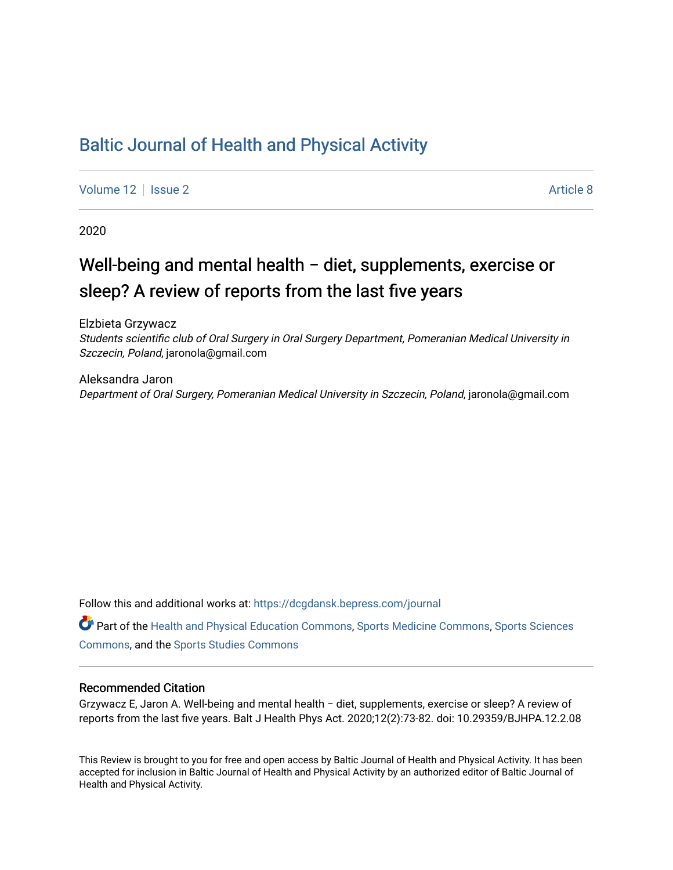## [Baltic Journal of Health and Physical Activity](https://dcgdansk.bepress.com/journal)

[Volume 12](https://dcgdansk.bepress.com/journal/vol12) | [Issue 2](https://dcgdansk.bepress.com/journal/vol12/iss2) Article 8

2020

# Well-being and mental health − diet, supplements, exercise or sleep? A review of reports from the last five years

Elzbieta Grzywacz Students scientific club of Oral Surgery in Oral Surgery Department, Pomeranian Medical University in Szczecin, Poland, jaronola@gmail.com

Aleksandra Jaron Department of Oral Surgery, Pomeranian Medical University in Szczecin, Poland, jaronola@gmail.com

Follow this and additional works at: [https://dcgdansk.bepress.com/journal](https://dcgdansk.bepress.com/journal?utm_source=dcgdansk.bepress.com%2Fjournal%2Fvol12%2Fiss2%2F8&utm_medium=PDF&utm_campaign=PDFCoverPages)

Part of the [Health and Physical Education Commons](http://network.bepress.com/hgg/discipline/1327?utm_source=dcgdansk.bepress.com%2Fjournal%2Fvol12%2Fiss2%2F8&utm_medium=PDF&utm_campaign=PDFCoverPages), [Sports Medicine Commons,](http://network.bepress.com/hgg/discipline/1331?utm_source=dcgdansk.bepress.com%2Fjournal%2Fvol12%2Fiss2%2F8&utm_medium=PDF&utm_campaign=PDFCoverPages) [Sports Sciences](http://network.bepress.com/hgg/discipline/759?utm_source=dcgdansk.bepress.com%2Fjournal%2Fvol12%2Fiss2%2F8&utm_medium=PDF&utm_campaign=PDFCoverPages) [Commons](http://network.bepress.com/hgg/discipline/759?utm_source=dcgdansk.bepress.com%2Fjournal%2Fvol12%2Fiss2%2F8&utm_medium=PDF&utm_campaign=PDFCoverPages), and the [Sports Studies Commons](http://network.bepress.com/hgg/discipline/1198?utm_source=dcgdansk.bepress.com%2Fjournal%2Fvol12%2Fiss2%2F8&utm_medium=PDF&utm_campaign=PDFCoverPages) 

## Recommended Citation

Grzywacz E, Jaron A. Well-being and mental health − diet, supplements, exercise or sleep? A review of reports from the last five years. Balt J Health Phys Act. 2020;12(2):73-82. doi: 10.29359/BJHPA.12.2.08

This Review is brought to you for free and open access by Baltic Journal of Health and Physical Activity. It has been accepted for inclusion in Baltic Journal of Health and Physical Activity by an authorized editor of Baltic Journal of Health and Physical Activity.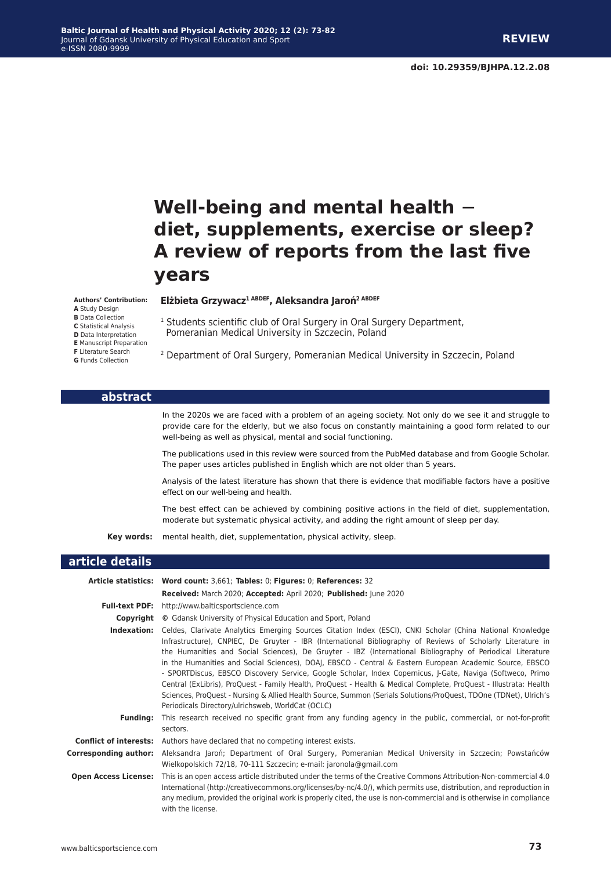# **Well-being and mental health** − **diet, supplements, exercise or sleep? A review of reports from the last five years**

#### **Authors' Contribution:**

**A** Study Design

- **B** Data Collection
- **C** Statistical Analysis
- **D** Data Interpretation

**E** Manuscript Preparation

**F** Literature Search

#### **Elżbieta Grzywacz1 ABDEF, Aleksandra Jaroń2 ABDEF**

- <sup>1</sup> Students scientific club of Oral Surgery in Oral Surgery Department, Pomeranian Medical University in Szczecin, Poland
- <sup>2</sup> Department of Oral Surgery, Pomeranian Medical University in Szczecin, Poland

#### **abstract**

**Background:** In the 2020s we are faced with a problem of an ageing society. Not only do we see it and struggle to provide care for the elderly, but we also focus on constantly maintaining a good form related to our well-being as well as physical, mental and social functioning.

The publications used in this review were sourced from the PubMed database and from Google Scholar. The paper uses articles published in English which are not older than 5 years.

**Results:** Analysis of the latest literature has shown that there is evidence that modifiable factors have a positive effect on our well-being and health.

**Conclusions:** The best effect can be achieved by combining positive actions in the field of diet, supplementation, moderate but systematic physical activity, and adding the right amount of sleep per day.

**Key words:** mental health, diet, supplementation, physical activity, sleep.

### **article details**

|                             | Article statistics: Word count: 3,661; Tables: 0; Figures: 0; References: 32                                                                                                                                                                                                                                                                                                                                                                                                                                                                                                                                                                                                                                                                                                                                                                                              |
|-----------------------------|---------------------------------------------------------------------------------------------------------------------------------------------------------------------------------------------------------------------------------------------------------------------------------------------------------------------------------------------------------------------------------------------------------------------------------------------------------------------------------------------------------------------------------------------------------------------------------------------------------------------------------------------------------------------------------------------------------------------------------------------------------------------------------------------------------------------------------------------------------------------------|
|                             | Received: March 2020; Accepted: April 2020; Published: June 2020                                                                                                                                                                                                                                                                                                                                                                                                                                                                                                                                                                                                                                                                                                                                                                                                          |
|                             | <b>Full-text PDF:</b> http://www.balticsportscience.com                                                                                                                                                                                                                                                                                                                                                                                                                                                                                                                                                                                                                                                                                                                                                                                                                   |
|                             | <b>Copyright</b> © Gdansk University of Physical Education and Sport, Poland                                                                                                                                                                                                                                                                                                                                                                                                                                                                                                                                                                                                                                                                                                                                                                                              |
|                             | Indexation: Celdes, Clarivate Analytics Emerging Sources Citation Index (ESCI), CNKI Scholar (China National Knowledge<br>Infrastructure), CNPIEC, De Gruyter - IBR (International Bibliography of Reviews of Scholarly Literature in<br>the Humanities and Social Sciences), De Gruyter - IBZ (International Bibliography of Periodical Literature<br>in the Humanities and Social Sciences), DOAJ, EBSCO - Central & Eastern European Academic Source, EBSCO<br>- SPORTDiscus, EBSCO Discovery Service, Google Scholar, Index Copernicus, J-Gate, Naviga (Softweco, Primo<br>Central (ExLibris), ProQuest - Family Health, ProQuest - Health & Medical Complete, ProQuest - Illustrata: Health<br>Sciences, ProQuest - Nursing & Allied Health Source, Summon (Serials Solutions/ProQuest, TDOne (TDNet), Ulrich's<br>Periodicals Directory/ulrichsweb, WorldCat (OCLC) |
| <b>Funding:</b>             | This research received no specific grant from any funding agency in the public, commercial, or not-for-profit<br>sectors.                                                                                                                                                                                                                                                                                                                                                                                                                                                                                                                                                                                                                                                                                                                                                 |
|                             | <b>Conflict of interests:</b> Authors have declared that no competing interest exists.                                                                                                                                                                                                                                                                                                                                                                                                                                                                                                                                                                                                                                                                                                                                                                                    |
| Corresponding author:       | Aleksandra Jaroń; Department of Oral Surgery, Pomeranian Medical University in Szczecin; Powstańców<br>Wielkopolskich 72/18, 70-111 Szczecin; e-mail: jaronola@gmail.com                                                                                                                                                                                                                                                                                                                                                                                                                                                                                                                                                                                                                                                                                                  |
| <b>Open Access License:</b> | This is an open access article distributed under the terms of the Creative Commons Attribution-Non-commercial 4.0<br>International (http://creativecommons.org/licenses/by-nc/4.0/), which permits use, distribution, and reproduction in<br>any medium, provided the original work is properly cited, the use is non-commercial and is otherwise in compliance<br>with the license.                                                                                                                                                                                                                                                                                                                                                                                                                                                                                      |

**G** Funds Collection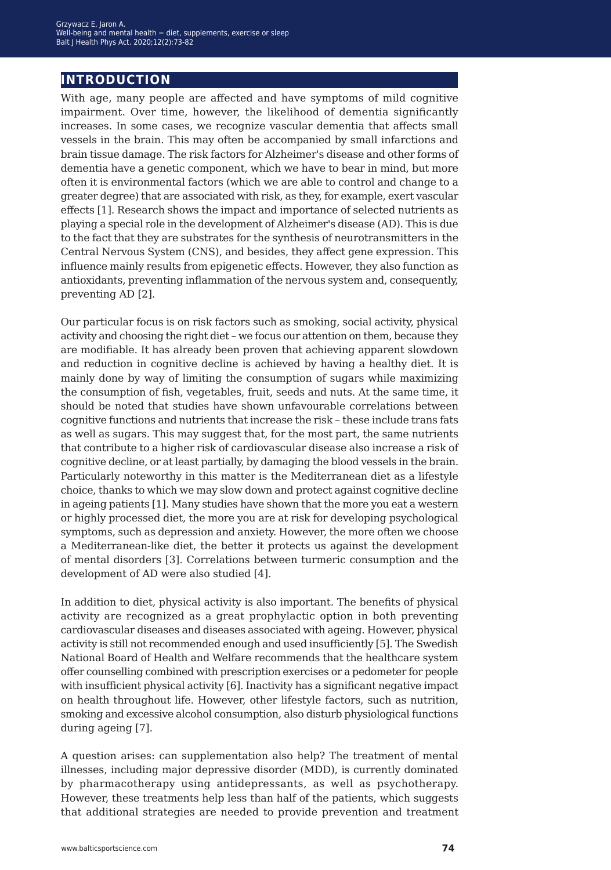## **introduction**

With age, many people are affected and have symptoms of mild cognitive impairment. Over time, however, the likelihood of dementia significantly increases. In some cases, we recognize vascular dementia that affects small vessels in the brain. This may often be accompanied by small infarctions and brain tissue damage. The risk factors for Alzheimer's disease and other forms of dementia have a genetic component, which we have to bear in mind, but more often it is environmental factors (which we are able to control and change to a greater degree) that are associated with risk, as they, for example, exert vascular effects [1]. Research shows the impact and importance of selected nutrients as playing a special role in the development of Alzheimer's disease (AD). This is due to the fact that they are substrates for the synthesis of neurotransmitters in the Central Nervous System (CNS), and besides, they affect gene expression. This influence mainly results from epigenetic effects. However, they also function as antioxidants, preventing inflammation of the nervous system and, consequently, preventing AD [2].

Our particular focus is on risk factors such as smoking, social activity, physical activity and choosing the right diet – we focus our attention on them, because they are modifiable. It has already been proven that achieving apparent slowdown and reduction in cognitive decline is achieved by having a healthy diet. It is mainly done by way of limiting the consumption of sugars while maximizing the consumption of fish, vegetables, fruit, seeds and nuts. At the same time, it should be noted that studies have shown unfavourable correlations between cognitive functions and nutrients that increase the risk – these include trans fats as well as sugars. This may suggest that, for the most part, the same nutrients that contribute to a higher risk of cardiovascular disease also increase a risk of cognitive decline, or at least partially, by damaging the blood vessels in the brain. Particularly noteworthy in this matter is the Mediterranean diet as a lifestyle choice, thanks to which we may slow down and protect against cognitive decline in ageing patients [1]. Many studies have shown that the more you eat a western or highly processed diet, the more you are at risk for developing psychological symptoms, such as depression and anxiety. However, the more often we choose a Mediterranean-like diet, the better it protects us against the development of mental disorders [3]. Correlations between turmeric consumption and the development of AD were also studied [4].

In addition to diet, physical activity is also important. The benefits of physical activity are recognized as a great prophylactic option in both preventing cardiovascular diseases and diseases associated with ageing. However, physical activity is still not recommended enough and used insufficiently [5]. The Swedish National Board of Health and Welfare recommends that the healthcare system offer counselling combined with prescription exercises or a pedometer for people with insufficient physical activity [6]. Inactivity has a significant negative impact on health throughout life. However, other lifestyle factors, such as nutrition, smoking and excessive alcohol consumption, also disturb physiological functions during ageing [7].

A question arises: can supplementation also help? The treatment of mental illnesses, including major depressive disorder (MDD), is currently dominated by pharmacotherapy using antidepressants, as well as psychotherapy. However, these treatments help less than half of the patients, which suggests that additional strategies are needed to provide prevention and treatment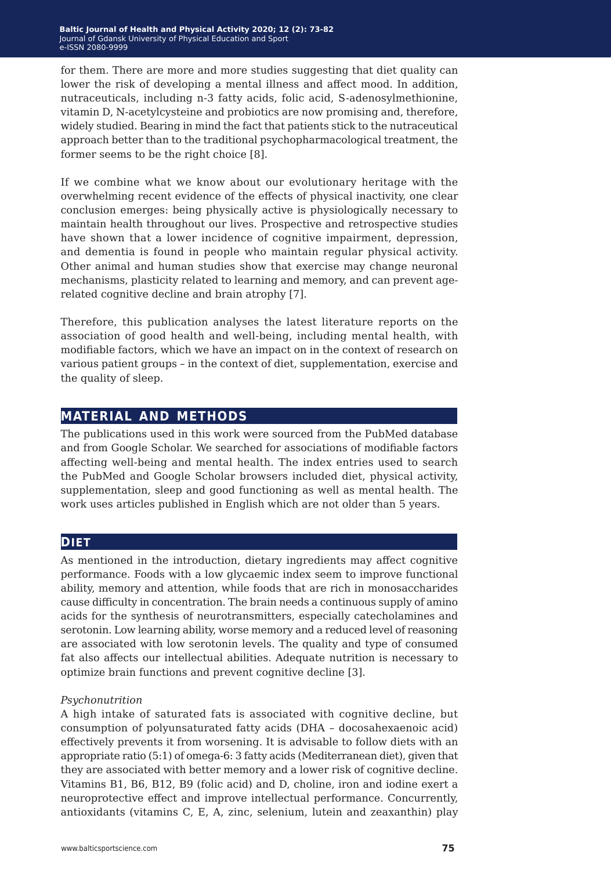for them. There are more and more studies suggesting that diet quality can lower the risk of developing a mental illness and affect mood. In addition, nutraceuticals, including n-3 fatty acids, folic acid, S-adenosylmethionine, vitamin D, N-acetylcysteine and probiotics are now promising and, therefore, widely studied. Bearing in mind the fact that patients stick to the nutraceutical approach better than to the traditional psychopharmacological treatment, the former seems to be the right choice [8].

If we combine what we know about our evolutionary heritage with the overwhelming recent evidence of the effects of physical inactivity, one clear conclusion emerges: being physically active is physiologically necessary to maintain health throughout our lives. Prospective and retrospective studies have shown that a lower incidence of cognitive impairment, depression, and dementia is found in people who maintain regular physical activity. Other animal and human studies show that exercise may change neuronal mechanisms, plasticity related to learning and memory, and can prevent agerelated cognitive decline and brain atrophy [7].

Therefore, this publication analyses the latest literature reports on the association of good health and well-being, including mental health, with modifiable factors, which we have an impact on in the context of research on various patient groups – in the context of diet, supplementation, exercise and the quality of sleep.

## **material and methods**

The publications used in this work were sourced from the PubMed database and from Google Scholar. We searched for associations of modifiable factors affecting well-being and mental health. The index entries used to search the PubMed and Google Scholar browsers included diet, physical activity, supplementation, sleep and good functioning as well as mental health. The work uses articles published in English which are not older than 5 years.

## **DIET**

As mentioned in the introduction, dietary ingredients may affect cognitive performance. Foods with a low glycaemic index seem to improve functional ability, memory and attention, while foods that are rich in monosaccharides cause difficulty in concentration. The brain needs a continuous supply of amino acids for the synthesis of neurotransmitters, especially catecholamines and serotonin. Low learning ability, worse memory and a reduced level of reasoning are associated with low serotonin levels. The quality and type of consumed fat also affects our intellectual abilities. Adequate nutrition is necessary to optimize brain functions and prevent cognitive decline [3].

## *Psychonutrition*

A high intake of saturated fats is associated with cognitive decline, but consumption of polyunsaturated fatty acids (DHA – docosahexaenoic acid) effectively prevents it from worsening. It is advisable to follow diets with an appropriate ratio (5:1) of omega-6: 3 fatty acids (Mediterranean diet), given that they are associated with better memory and a lower risk of cognitive decline. Vitamins B1, B6, B12, B9 (folic acid) and D, choline, iron and iodine exert a neuroprotective effect and improve intellectual performance. Concurrently, antioxidants (vitamins C, E, A, zinc, selenium, lutein and zeaxanthin) play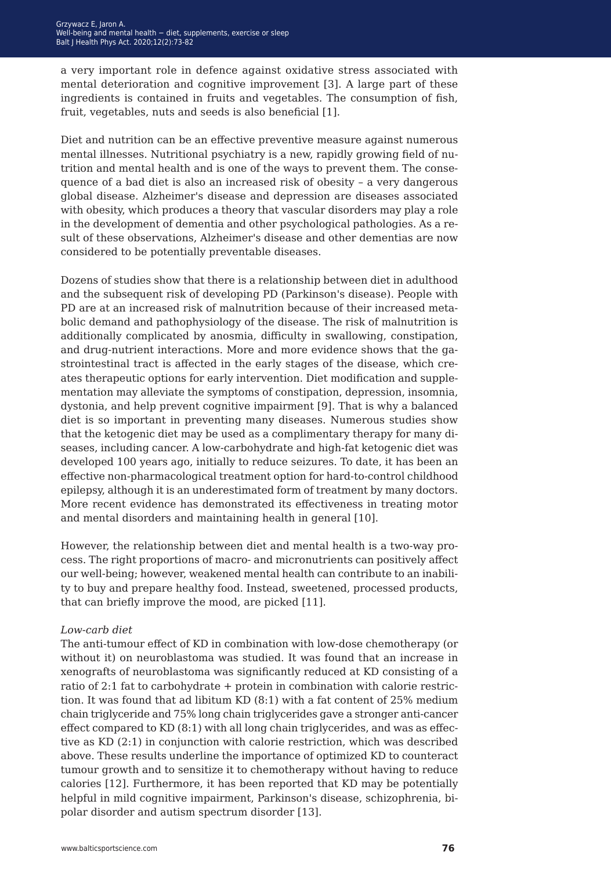a very important role in defence against oxidative stress associated with mental deterioration and cognitive improvement [3]. A large part of these ingredients is contained in fruits and vegetables. The consumption of fish, fruit, vegetables, nuts and seeds is also beneficial [1].

Diet and nutrition can be an effective preventive measure against numerous mental illnesses. Nutritional psychiatry is a new, rapidly growing field of nutrition and mental health and is one of the ways to prevent them. The consequence of a bad diet is also an increased risk of obesity – a very dangerous global disease. Alzheimer's disease and depression are diseases associated with obesity, which produces a theory that vascular disorders may play a role in the development of dementia and other psychological pathologies. As a result of these observations, Alzheimer's disease and other dementias are now considered to be potentially preventable diseases.

Dozens of studies show that there is a relationship between diet in adulthood and the subsequent risk of developing PD (Parkinson's disease). People with PD are at an increased risk of malnutrition because of their increased metabolic demand and pathophysiology of the disease. The risk of malnutrition is additionally complicated by anosmia, difficulty in swallowing, constipation, and drug-nutrient interactions. More and more evidence shows that the gastrointestinal tract is affected in the early stages of the disease, which creates therapeutic options for early intervention. Diet modification and supplementation may alleviate the symptoms of constipation, depression, insomnia, dystonia, and help prevent cognitive impairment [9]. That is why a balanced diet is so important in preventing many diseases. Numerous studies show that the ketogenic diet may be used as a complimentary therapy for many diseases, including cancer. A low-carbohydrate and high-fat ketogenic diet was developed 100 years ago, initially to reduce seizures. To date, it has been an effective non-pharmacological treatment option for hard-to-control childhood epilepsy, although it is an underestimated form of treatment by many doctors. More recent evidence has demonstrated its effectiveness in treating motor and mental disorders and maintaining health in general [10].

However, the relationship between diet and mental health is a two-way process. The right proportions of macro- and micronutrients can positively affect our well-being; however, weakened mental health can contribute to an inability to buy and prepare healthy food. Instead, sweetened, processed products, that can briefly improve the mood, are picked [11].

## *Low-carb diet*

The anti-tumour effect of KD in combination with low-dose chemotherapy (or without it) on neuroblastoma was studied. It was found that an increase in xenografts of neuroblastoma was significantly reduced at KD consisting of a ratio of 2:1 fat to carbohydrate + protein in combination with calorie restriction. It was found that ad libitum KD (8:1) with a fat content of 25% medium chain triglyceride and 75% long chain triglycerides gave a stronger anti-cancer effect compared to KD (8:1) with all long chain triglycerides, and was as effective as KD (2:1) in conjunction with calorie restriction, which was described above. These results underline the importance of optimized KD to counteract tumour growth and to sensitize it to chemotherapy without having to reduce calories [12]. Furthermore, it has been reported that KD may be potentially helpful in mild cognitive impairment, Parkinson's disease, schizophrenia, bipolar disorder and autism spectrum disorder [13].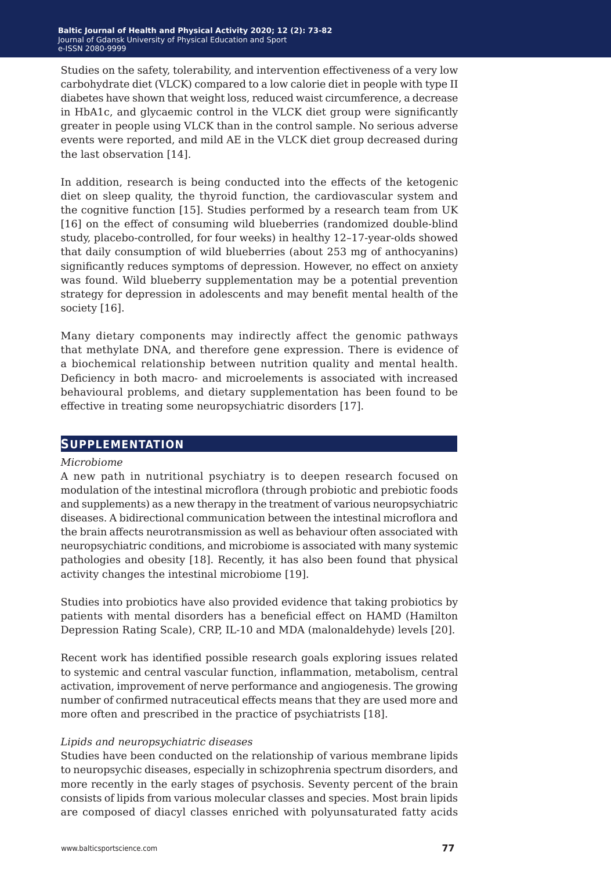Studies on the safety, tolerability, and intervention effectiveness of a very low carbohydrate diet (VLCK) compared to a low calorie diet in people with type II diabetes have shown that weight loss, reduced waist circumference, a decrease in HbA1c, and glycaemic control in the VLCK diet group were significantly greater in people using VLCK than in the control sample. No serious adverse events were reported, and mild AE in the VLCK diet group decreased during the last observation [14].

In addition, research is being conducted into the effects of the ketogenic diet on sleep quality, the thyroid function, the cardiovascular system and the cognitive function [15]. Studies performed by a research team from UK [16] on the effect of consuming wild blueberries (randomized double-blind study, placebo-controlled, for four weeks) in healthy 12–17-year-olds showed that daily consumption of wild blueberries (about 253 mg of anthocyanins) significantly reduces symptoms of depression. However, no effect on anxiety was found. Wild blueberry supplementation may be a potential prevention strategy for depression in adolescents and may benefit mental health of the society [16].

Many dietary components may indirectly affect the genomic pathways that methylate DNA, and therefore gene expression. There is evidence of a biochemical relationship between nutrition quality and mental health. Deficiency in both macro- and microelements is associated with increased behavioural problems, and dietary supplementation has been found to be effective in treating some neuropsychiatric disorders [17].

## **supplementation**

## *Microbiome*

A new path in nutritional psychiatry is to deepen research focused on modulation of the intestinal microflora (through probiotic and prebiotic foods and supplements) as a new therapy in the treatment of various neuropsychiatric diseases. A bidirectional communication between the intestinal microflora and the brain affects neurotransmission as well as behaviour often associated with neuropsychiatric conditions, and microbiome is associated with many systemic pathologies and obesity [18]. Recently, it has also been found that physical activity changes the intestinal microbiome [19].

Studies into probiotics have also provided evidence that taking probiotics by patients with mental disorders has a beneficial effect on HAMD (Hamilton Depression Rating Scale), CRP, IL-10 and MDA (malonaldehyde) levels [20].

Recent work has identified possible research goals exploring issues related to systemic and central vascular function, inflammation, metabolism, central activation, improvement of nerve performance and angiogenesis. The growing number of confirmed nutraceutical effects means that they are used more and more often and prescribed in the practice of psychiatrists [18].

## *Lipids and neuropsychiatric diseases*

Studies have been conducted on the relationship of various membrane lipids to neuropsychic diseases, especially in schizophrenia spectrum disorders, and more recently in the early stages of psychosis. Seventy percent of the brain consists of lipids from various molecular classes and species. Most brain lipids are composed of diacyl classes enriched with polyunsaturated fatty acids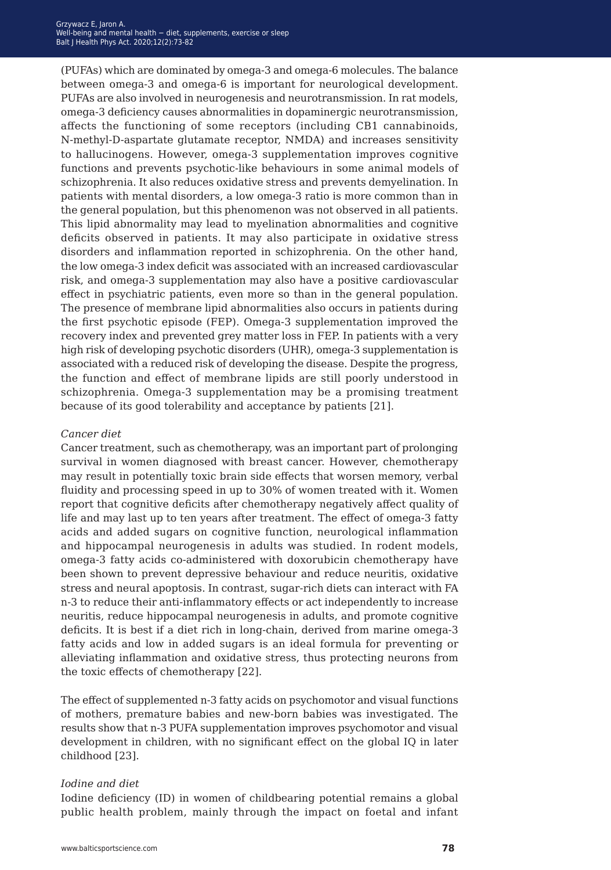(PUFAs) which are dominated by omega-3 and omega-6 molecules. The balance between omega-3 and omega-6 is important for neurological development. PUFAs are also involved in neurogenesis and neurotransmission. In rat models, omega-3 deficiency causes abnormalities in dopaminergic neurotransmission, affects the functioning of some receptors (including CB1 cannabinoids, N-methyl-D-aspartate glutamate receptor, NMDA) and increases sensitivity to hallucinogens. However, omega-3 supplementation improves cognitive functions and prevents psychotic-like behaviours in some animal models of schizophrenia. It also reduces oxidative stress and prevents demyelination. In patients with mental disorders, a low omega-3 ratio is more common than in the general population, but this phenomenon was not observed in all patients. This lipid abnormality may lead to myelination abnormalities and cognitive deficits observed in patients. It may also participate in oxidative stress disorders and inflammation reported in schizophrenia. On the other hand, the low omega-3 index deficit was associated with an increased cardiovascular risk, and omega-3 supplementation may also have a positive cardiovascular effect in psychiatric patients, even more so than in the general population. The presence of membrane lipid abnormalities also occurs in patients during the first psychotic episode (FEP). Omega-3 supplementation improved the recovery index and prevented grey matter loss in FEP. In patients with a very high risk of developing psychotic disorders (UHR), omega-3 supplementation is associated with a reduced risk of developing the disease. Despite the progress, the function and effect of membrane lipids are still poorly understood in schizophrenia. Omega-3 supplementation may be a promising treatment because of its good tolerability and acceptance by patients [21].

### *Cancer diet*

Cancer treatment, such as chemotherapy, was an important part of prolonging survival in women diagnosed with breast cancer. However, chemotherapy may result in potentially toxic brain side effects that worsen memory, verbal fluidity and processing speed in up to 30% of women treated with it. Women report that cognitive deficits after chemotherapy negatively affect quality of life and may last up to ten years after treatment. The effect of omega-3 fatty acids and added sugars on cognitive function, neurological inflammation and hippocampal neurogenesis in adults was studied. In rodent models, omega-3 fatty acids co-administered with doxorubicin chemotherapy have been shown to prevent depressive behaviour and reduce neuritis, oxidative stress and neural apoptosis. In contrast, sugar-rich diets can interact with FA n-3 to reduce their anti-inflammatory effects or act independently to increase neuritis, reduce hippocampal neurogenesis in adults, and promote cognitive deficits. It is best if a diet rich in long-chain, derived from marine omega-3 fatty acids and low in added sugars is an ideal formula for preventing or alleviating inflammation and oxidative stress, thus protecting neurons from the toxic effects of chemotherapy [22].

The effect of supplemented n-3 fatty acids on psychomotor and visual functions of mothers, premature babies and new-born babies was investigated. The results show that n-3 PUFA supplementation improves psychomotor and visual development in children, with no significant effect on the global IQ in later childhood [23].

#### *Iodine and diet*

Iodine deficiency (ID) in women of childbearing potential remains a global public health problem, mainly through the impact on foetal and infant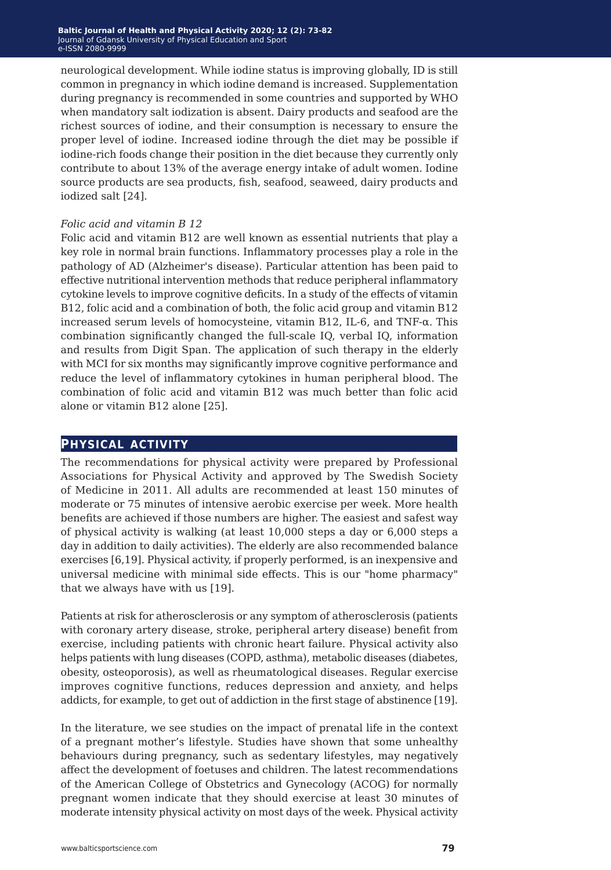neurological development. While iodine status is improving globally, ID is still common in pregnancy in which iodine demand is increased. Supplementation during pregnancy is recommended in some countries and supported by WHO when mandatory salt iodization is absent. Dairy products and seafood are the richest sources of iodine, and their consumption is necessary to ensure the proper level of iodine. Increased iodine through the diet may be possible if iodine-rich foods change their position in the diet because they currently only contribute to about 13% of the average energy intake of adult women. Iodine source products are sea products, fish, seafood, seaweed, dairy products and iodized salt [24].

## *Folic acid and vitamin B 12*

Folic acid and vitamin B12 are well known as essential nutrients that play a key role in normal brain functions. Inflammatory processes play a role in the pathology of AD (Alzheimer's disease). Particular attention has been paid to effective nutritional intervention methods that reduce peripheral inflammatory cytokine levels to improve cognitive deficits. In a study of the effects of vitamin B12, folic acid and a combination of both, the folic acid group and vitamin B12 increased serum levels of homocysteine, vitamin B12, IL-6, and TNF-α. This combination significantly changed the full-scale IQ, verbal IQ, information and results from Digit Span. The application of such therapy in the elderly with MCI for six months may significantly improve cognitive performance and reduce the level of inflammatory cytokines in human peripheral blood. The combination of folic acid and vitamin B12 was much better than folic acid alone or vitamin B12 alone [25].

## **physical activity**

The recommendations for physical activity were prepared by Professional Associations for Physical Activity and approved by The Swedish Society of Medicine in 2011. All adults are recommended at least 150 minutes of moderate or 75 minutes of intensive aerobic exercise per week. More health benefits are achieved if those numbers are higher. The easiest and safest way of physical activity is walking (at least 10,000 steps a day or 6,000 steps a day in addition to daily activities). The elderly are also recommended balance exercises [6,19]. Physical activity, if properly performed, is an inexpensive and universal medicine with minimal side effects. This is our "home pharmacy" that we always have with us [19].

Patients at risk for atherosclerosis or any symptom of atherosclerosis (patients with coronary artery disease, stroke, peripheral artery disease) benefit from exercise, including patients with chronic heart failure. Physical activity also helps patients with lung diseases (COPD, asthma), metabolic diseases (diabetes, obesity, osteoporosis), as well as rheumatological diseases. Regular exercise improves cognitive functions, reduces depression and anxiety, and helps addicts, for example, to get out of addiction in the first stage of abstinence [19].

In the literature, we see studies on the impact of prenatal life in the context of a pregnant mother's lifestyle. Studies have shown that some unhealthy behaviours during pregnancy, such as sedentary lifestyles, may negatively affect the development of foetuses and children. The latest recommendations of the American College of Obstetrics and Gynecology (ACOG) for normally pregnant women indicate that they should exercise at least 30 minutes of moderate intensity physical activity on most days of the week. Physical activity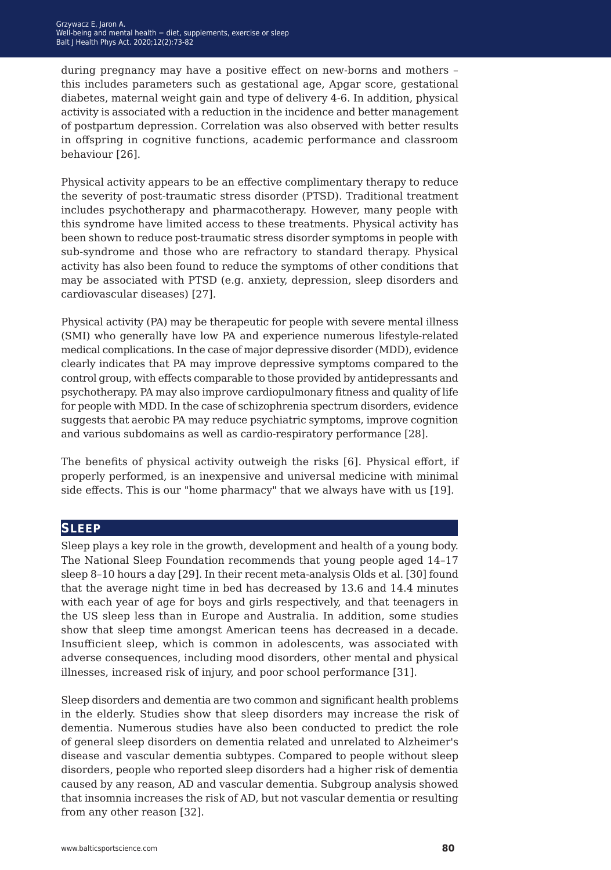during pregnancy may have a positive effect on new-borns and mothers – this includes parameters such as gestational age, Apgar score, gestational diabetes, maternal weight gain and type of delivery 4-6. In addition, physical activity is associated with a reduction in the incidence and better management of postpartum depression. Correlation was also observed with better results in offspring in cognitive functions, academic performance and classroom behaviour [26].

Physical activity appears to be an effective complimentary therapy to reduce the severity of post-traumatic stress disorder (PTSD). Traditional treatment includes psychotherapy and pharmacotherapy. However, many people with this syndrome have limited access to these treatments. Physical activity has been shown to reduce post-traumatic stress disorder symptoms in people with sub-syndrome and those who are refractory to standard therapy. Physical activity has also been found to reduce the symptoms of other conditions that may be associated with PTSD (e.g. anxiety, depression, sleep disorders and cardiovascular diseases) [27].

Physical activity (PA) may be therapeutic for people with severe mental illness (SMI) who generally have low PA and experience numerous lifestyle-related medical complications. In the case of major depressive disorder (MDD), evidence clearly indicates that PA may improve depressive symptoms compared to the control group, with effects comparable to those provided by antidepressants and psychotherapy. PA may also improve cardiopulmonary fitness and quality of life for people with MDD. In the case of schizophrenia spectrum disorders, evidence suggests that aerobic PA may reduce psychiatric symptoms, improve cognition and various subdomains as well as cardio-respiratory performance [28].

The benefits of physical activity outweigh the risks [6]. Physical effort, if properly performed, is an inexpensive and universal medicine with minimal side effects. This is our "home pharmacy" that we always have with us [19].

## **sleep**

Sleep plays a key role in the growth, development and health of a young body. The National Sleep Foundation recommends that young people aged 14–17 sleep 8–10 hours a day [29]. In their recent meta-analysis Olds et al. [30] found that the average night time in bed has decreased by 13.6 and 14.4 minutes with each year of age for boys and girls respectively, and that teenagers in the US sleep less than in Europe and Australia. In addition, some studies show that sleep time amongst American teens has decreased in a decade. Insufficient sleep, which is common in adolescents, was associated with adverse consequences, including mood disorders, other mental and physical illnesses, increased risk of injury, and poor school performance [31].

Sleep disorders and dementia are two common and significant health problems in the elderly. Studies show that sleep disorders may increase the risk of dementia. Numerous studies have also been conducted to predict the role of general sleep disorders on dementia related and unrelated to Alzheimer's disease and vascular dementia subtypes. Compared to people without sleep disorders, people who reported sleep disorders had a higher risk of dementia caused by any reason, AD and vascular dementia. Subgroup analysis showed that insomnia increases the risk of AD, but not vascular dementia or resulting from any other reason [32].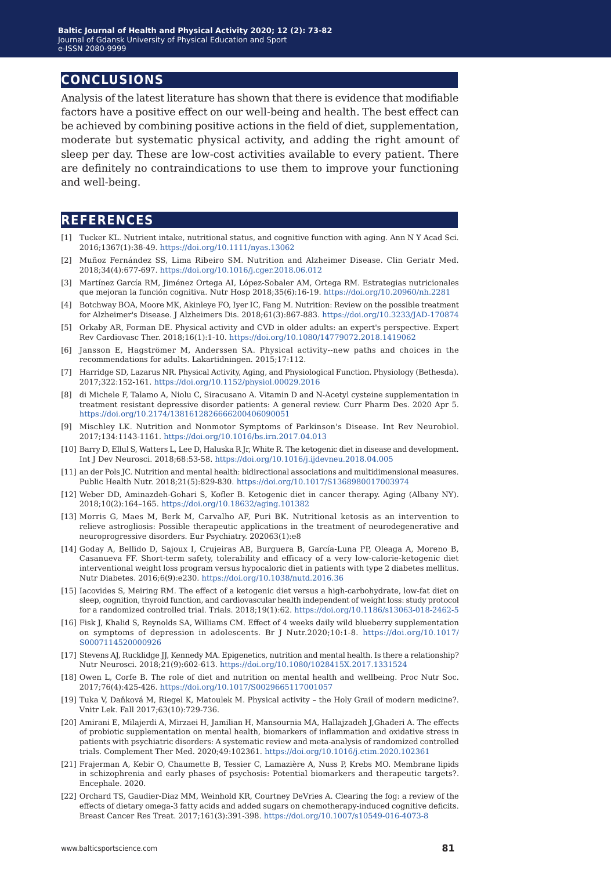## **conclusions**

Analysis of the latest literature has shown that there is evidence that modifiable factors have a positive effect on our well-being and health. The best effect can be achieved by combining positive actions in the field of diet, supplementation, moderate but systematic physical activity, and adding the right amount of sleep per day. These are low-cost activities available to every patient. There are definitely no contraindications to use them to improve your functioning and well-being.

## **references**

- [1] Tucker KL. Nutrient intake, nutritional status, and cognitive function with aging. Ann N Y Acad Sci. 2016;1367(1):38-49. <https://doi.org/10.1111/nyas.13062>
- [2] Muñoz Fernández SS, Lima Ribeiro SM. Nutrition and Alzheimer Disease. Clin Geriatr Med. 2018;34(4):677-697. <https://doi.org/10.1016/j.cger.2018.06.012>
- [3] Martínez García RM, Jiménez Ortega AI, López-Sobaler AM, Ortega RM. Estrategias nutricionales que mejoran la función cognitiva. Nutr Hosp 2018;35(6):16-19.<https://doi.org/10.20960/nh.2281>
- [4] Botchway BOA, Moore MK, Akinleye FO, Iyer IC, Fang M. Nutrition: Review on the possible treatment for Alzheimer's Disease. J Alzheimers Dis. 2018;61(3):867-883. [https://doi.org/10.3233/JAD-170874](https://doi.org/10.3233/JAD-170874
)
- [5] Orkaby AR, Forman DE. Physical activity and CVD in older adults: an expert's perspective. Expert Rev Cardiovasc Ther. 2018;16(1):1-10. <https://doi.org/10.1080/14779072.2018.1419062>
- [6] Jansson E, Hagströmer M, Anderssen SA. Physical activity--new paths and choices in the recommendations for adults. Lakartidningen. 2015;17:112.
- [7] Harridge SD, Lazarus NR. Physical Activity, Aging, and Physiological Function. Physiology (Bethesda). 2017;322:152-161.<https://doi.org/10.1152/physiol.00029.2016>
- [8] di Michele F, Talamo A, Niolu C, Siracusano A. Vitamin D and N-Acetyl cysteine supplementation in treatment resistant depressive disorder patients: A general review. Curr Pharm Des. 2020 Apr 5. <https://doi.org/10.2174/1381612826666200406090051>
- [9] Mischley LK. Nutrition and Nonmotor Symptoms of Parkinson's Disease. Int Rev Neurobiol. 2017;134:1143-1161.<https://doi.org/10.1016/bs.irn.2017.04.013>
- [10] Barry D, Ellul S, Watters L, Lee D, Haluska R Jr, White R. The ketogenic diet in disease and development. Int J Dev Neurosci. 2018;68:53-58. <https://doi.org/10.1016/j.ijdevneu.2018.04.005>
- [11] an der Pols JC. Nutrition and mental health: bidirectional associations and multidimensional measures. Public Health Nutr. 2018;21(5):829-830. <https://doi.org/10.1017/S1368980017003974>
- [12] Weber DD, Aminazdeh-Gohari S, Kofler B. Ketogenic diet in cancer therapy. Aging (Albany NY). 2018;10(2):164–165. <https://doi.org/10.18632/aging.101382>
- [13] Morris G, Maes M, Berk M, Carvalho AF, Puri BK. Nutritional ketosis as an intervention to relieve astrogliosis: Possible therapeutic applications in the treatment of neurodegenerative and neuroprogressive disorders. Eur Psychiatry. 202063(1):e8
- [14] Goday A, Bellido D, Sajoux I, Crujeiras AB, Burguera B, García-Luna PP, Oleaga A, Moreno B, Casanueva FF. Short-term safety, tolerability and efficacy of a very low-calorie-ketogenic diet interventional weight loss program versus hypocaloric diet in patients with type 2 diabetes mellitus. Nutr Diabetes. 2016;6(9):e230.<https://doi.org/10.1038/nutd.2016.36>
- [15] Iacovides S, Meiring RM. The effect of a ketogenic diet versus a high-carbohydrate, low-fat diet on sleep, cognition, thyroid function, and cardiovascular health independent of weight loss: study protocol for a randomized controlled trial. Trials. 2018;19(1):62.<https://doi.org/10.1186/s13063-018-2462-5>
- [16] Fisk J, Khalid S, Reynolds SA, Williams CM. Effect of 4 weeks daily wild blueberry supplementation on symptoms of depression in adolescents. Br J Nutr.2020;10:1-8. [https://doi.org/10.1017/](https://doi.org/10.1017/S0007114520000926) [S0007114520000926](https://doi.org/10.1017/S0007114520000926)
- [17] Stevens AJ, Rucklidge JJ, Kennedy MA. Epigenetics, nutrition and mental health. Is there a relationship? Nutr Neurosci. 2018;21(9):602-613.<https://doi.org/10.1080/1028415X.2017.1331524>
- [18] Owen L, Corfe B. The role of diet and nutrition on mental health and wellbeing. Proc Nutr Soc. 2017;76(4):425-426. <https://doi.org/10.1017/S0029665117001057>
- [19] Tuka V, Daňková M, Riegel K, Matoulek M. Physical activity the Holy Grail of modern medicine?. Vnitr Lek. Fall 2017;63(10):729-736.
- [20] Amirani E, Milajerdi A, Mirzaei H, Jamilian H, Mansournia MA, Hallajzadeh J,Ghaderi A. The effects of probiotic supplementation on mental health, biomarkers of inflammation and oxidative stress in patients with psychiatric disorders: A systematic review and meta-analysis of randomized controlled trials. Complement Ther Med. 2020;49:102361. <https://doi.org/10.1016/j.ctim.2020.102361>
- [21] Frajerman A, Kebir O, Chaumette B, Tessier C, Lamazière A, Nuss P, Krebs MO. Membrane lipids in schizophrenia and early phases of psychosis: Potential biomarkers and therapeutic targets?. Encephale. 2020.
- [22] Orchard TS, Gaudier-Diaz MM, Weinhold KR, Courtney DeVries A. Clearing the fog: a review of the effects of dietary omega-3 fatty acids and added sugars on chemotherapy-induced cognitive deficits. Breast Cancer Res Treat. 2017;161(3):391-398.<https://doi.org/10.1007/s10549-016-4073-8>